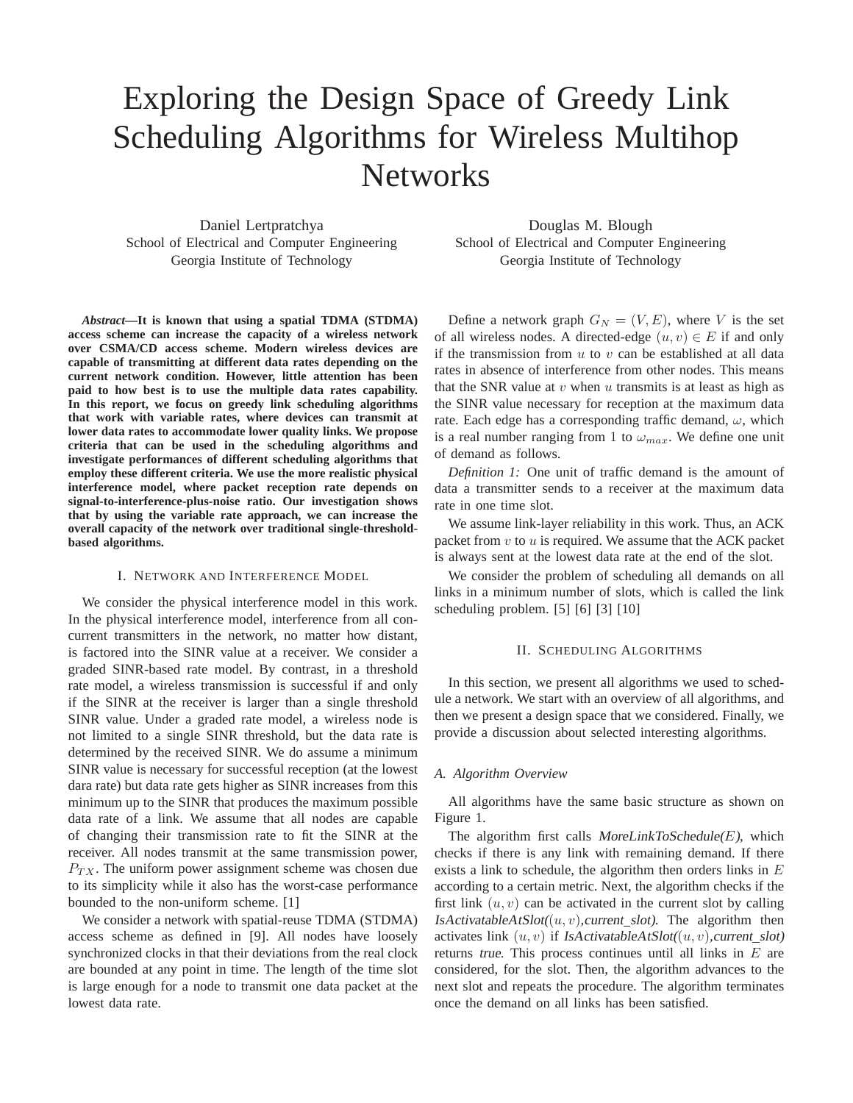# Exploring the Design Space of Greedy Link Scheduling Algorithms for Wireless Multihop **Networks**

Daniel Lertpratchya School of Electrical and Computer Engineering Georgia Institute of Technology

Douglas M. Blough School of Electrical and Computer Engineering Georgia Institute of Technology

*Abstract***—It is known that using a spatial TDMA (STDMA) access scheme can increase the capacity of a wireless network over CSMA/CD access scheme. Modern wireless devices are capable of transmitting at different data rates depending on the current network condition. However, little attention has been paid to how best is to use the multiple data rates capability. In this report, we focus on greedy link scheduling algorithms that work with variable rates, where devices can transmit at lower data rates to accommodate lower quality links. We propose criteria that can be used in the scheduling algorithms and investigate performances of different scheduling algorithms that employ these different criteria. We use the more realistic physical interference model, where packet reception rate depends on signal-to-interference-plus-noise ratio. Our investigation shows that by using the variable rate approach, we can increase the overall capacity of the network over traditional single-thresholdbased algorithms.**

#### I. NETWORK AND INTERFERENCE MODEL

We consider the physical interference model in this work. In the physical interference model, interference from all concurrent transmitters in the network, no matter how distant, is factored into the SINR value at a receiver. We consider a graded SINR-based rate model. By contrast, in a threshold rate model, a wireless transmission is successful if and only if the SINR at the receiver is larger than a single threshold SINR value. Under a graded rate model, a wireless node is not limited to a single SINR threshold, but the data rate is determined by the received SINR. We do assume a minimum SINR value is necessary for successful reception (at the lowest dara rate) but data rate gets higher as SINR increases from this minimum up to the SINR that produces the maximum possible data rate of a link. We assume that all nodes are capable of changing their transmission rate to fit the SINR at the receiver. All nodes transmit at the same transmission power,  $P_{TX}$ . The uniform power assignment scheme was chosen due to its simplicity while it also has the worst-case performance bounded to the non-uniform scheme. [1]

We consider a network with spatial-reuse TDMA (STDMA) access scheme as defined in [9]. All nodes have loosely synchronized clocks in that their deviations from the real clock are bounded at any point in time. The length of the time slot is large enough for a node to transmit one data packet at the lowest data rate.

Define a network graph  $G_N = (V, E)$ , where V is the set of all wireless nodes. A directed-edge  $(u, v) \in E$  if and only if the transmission from  $u$  to  $v$  can be established at all data rates in absence of interference from other nodes. This means that the SNR value at  $v$  when  $u$  transmits is at least as high as the SINR value necessary for reception at the maximum data rate. Each edge has a corresponding traffic demand,  $\omega$ , which is a real number ranging from 1 to  $\omega_{max}$ . We define one unit of demand as follows.

*Definition 1:* One unit of traffic demand is the amount of data a transmitter sends to a receiver at the maximum data rate in one time slot.

We assume link-layer reliability in this work. Thus, an ACK packet from  $v$  to  $u$  is required. We assume that the ACK packet is always sent at the lowest data rate at the end of the slot.

We consider the problem of scheduling all demands on all links in a minimum number of slots, which is called the link scheduling problem. [5] [6] [3] [10]

#### II. SCHEDULING ALGORITHMS

In this section, we present all algorithms we used to schedule a network. We start with an overview of all algorithms, and then we present a design space that we considered. Finally, we provide a discussion about selected interesting algorithms.

## *A. Algorithm Overview*

All algorithms have the same basic structure as shown on Figure 1.

The algorithm first calls MoreLinkToSchedule $(E)$ , which checks if there is any link with remaining demand. If there exists a link to schedule, the algorithm then orders links in  $E$ according to a certain metric. Next, the algorithm checks if the first link  $(u, v)$  can be activated in the current slot by calling IsActivatableAtSlot( $(u, v)$ , current\_slot). The algorithm then activates link  $(u, v)$  if IsActivatableAtSlot $((u, v)$ , current slot) returns true. This process continues until all links in  $E$  are considered, for the slot. Then, the algorithm advances to the next slot and repeats the procedure. The algorithm terminates once the demand on all links has been satisfied.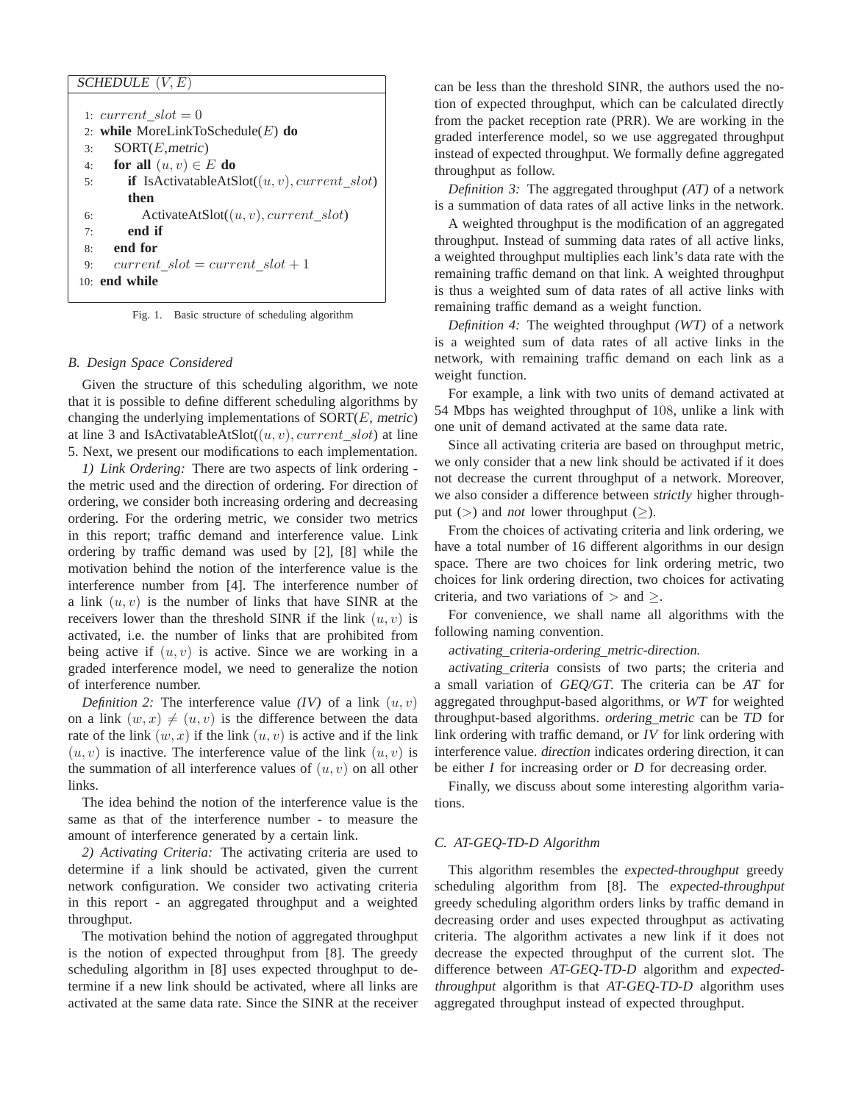| SCHEDULE $(V, E)$                                                     |
|-----------------------------------------------------------------------|
|                                                                       |
| 1: current $slot = 0$                                                 |
| 2: while MoreLinkToSchedule $(E)$ do                                  |
| SORT(E, metric)<br>3:                                                 |
| for all $(u, v) \in E$ do<br>4:                                       |
| <b>if</b> IsActivatableAtSlot( $(u, v)$ , <i>current_slot</i> )<br>5: |
| then                                                                  |
| ActivateAtSlot( $(u, v)$ , current_slot)<br>6:                        |
| end if<br>7:                                                          |
| end for<br>8:                                                         |
| current $slot = current$ $slot + 1$<br>9:                             |
| $101$ end while                                                       |

Fig. 1. Basic structure of scheduling algorithm

#### *B. Design Space Considered*

Given the structure of this scheduling algorithm, we note that it is possible to define different scheduling algorithms by changing the underlying implementations of  $SORT(E, metric)$ at line 3 and IsActivatableAtSlot( $(u, v)$ , current slot) at line 5. Next, we present our modifications to each implementation.

*1) Link Ordering:* There are two aspects of link ordering the metric used and the direction of ordering. For direction of ordering, we consider both increasing ordering and decreasing ordering. For the ordering metric, we consider two metrics in this report; traffic demand and interference value. Link ordering by traffic demand was used by [2], [8] while the motivation behind the notion of the interference value is the interference number from [4]. The interference number of a link  $(u, v)$  is the number of links that have SINR at the receivers lower than the threshold SINR if the link  $(u, v)$  is activated, i.e. the number of links that are prohibited from being active if  $(u, v)$  is active. Since we are working in a graded interference model, we need to generalize the notion of interference number.

*Definition 2:* The interference value  $(IV)$  of a link  $(u, v)$ on a link  $(w, x) \neq (u, v)$  is the difference between the data rate of the link  $(w, x)$  if the link  $(u, v)$  is active and if the link  $(u, v)$  is inactive. The interference value of the link  $(u, v)$  is the summation of all interference values of  $(u, v)$  on all other links.

The idea behind the notion of the interference value is the same as that of the interference number - to measure the amount of interference generated by a certain link.

*2) Activating Criteria:* The activating criteria are used to determine if a link should be activated, given the current network configuration. We consider two activating criteria in this report - an aggregated throughput and a weighted throughput.

The motivation behind the notion of aggregated throughput is the notion of expected throughput from [8]. The greedy scheduling algorithm in [8] uses expected throughput to determine if a new link should be activated, where all links are activated at the same data rate. Since the SINR at the receiver can be less than the threshold SINR, the authors used the notion of expected throughput, which can be calculated directly from the packet reception rate (PRR). We are working in the graded interference model, so we use aggregated throughput instead of expected throughput. We formally define aggregated throughput as follow.

*Definition 3:* The aggregated throughput (AT) of a network is a summation of data rates of all active links in the network.

A weighted throughput is the modification of an aggregated throughput. Instead of summing data rates of all active links, a weighted throughput multiplies each link's data rate with the remaining traffic demand on that link. A weighted throughput is thus a weighted sum of data rates of all active links with remaining traffic demand as a weight function.

*Definition 4:* The weighted throughput (WT) of a network is a weighted sum of data rates of all active links in the network, with remaining traffic demand on each link as a weight function.

For example, a link with two units of demand activated at 54 Mbps has weighted throughput of 108, unlike a link with one unit of demand activated at the same data rate.

Since all activating criteria are based on throughput metric, we only consider that a new link should be activated if it does not decrease the current throughput of a network. Moreover, we also consider a difference between strictly higher throughput ( $>$ ) and *not* lower throughput ( $\geq$ ).

From the choices of activating criteria and link ordering, we have a total number of 16 different algorithms in our design space. There are two choices for link ordering metric, two choices for link ordering direction, two choices for activating criteria, and two variations of  $>$  and  $\geq$ .

For convenience, we shall name all algorithms with the following naming convention.

activating criteria-ordering metric-direction.

activating criteria consists of two parts; the criteria and a small variation of GEQ/GT. The criteria can be AT for aggregated throughput-based algorithms, or WT for weighted throughput-based algorithms. ordering metric can be TD for link ordering with traffic demand, or IV for link ordering with interference value. direction indicates ordering direction, it can be either I for increasing order or D for decreasing order.

Finally, we discuss about some interesting algorithm variations.

## *C. AT-GEQ-TD-D Algorithm*

This algorithm resembles the expected-throughput greedy scheduling algorithm from [8]. The expected-throughput greedy scheduling algorithm orders links by traffic demand in decreasing order and uses expected throughput as activating criteria. The algorithm activates a new link if it does not decrease the expected throughput of the current slot. The difference between AT-GEQ-TD-D algorithm and expectedthroughput algorithm is that AT-GEQ-TD-D algorithm uses aggregated throughput instead of expected throughput.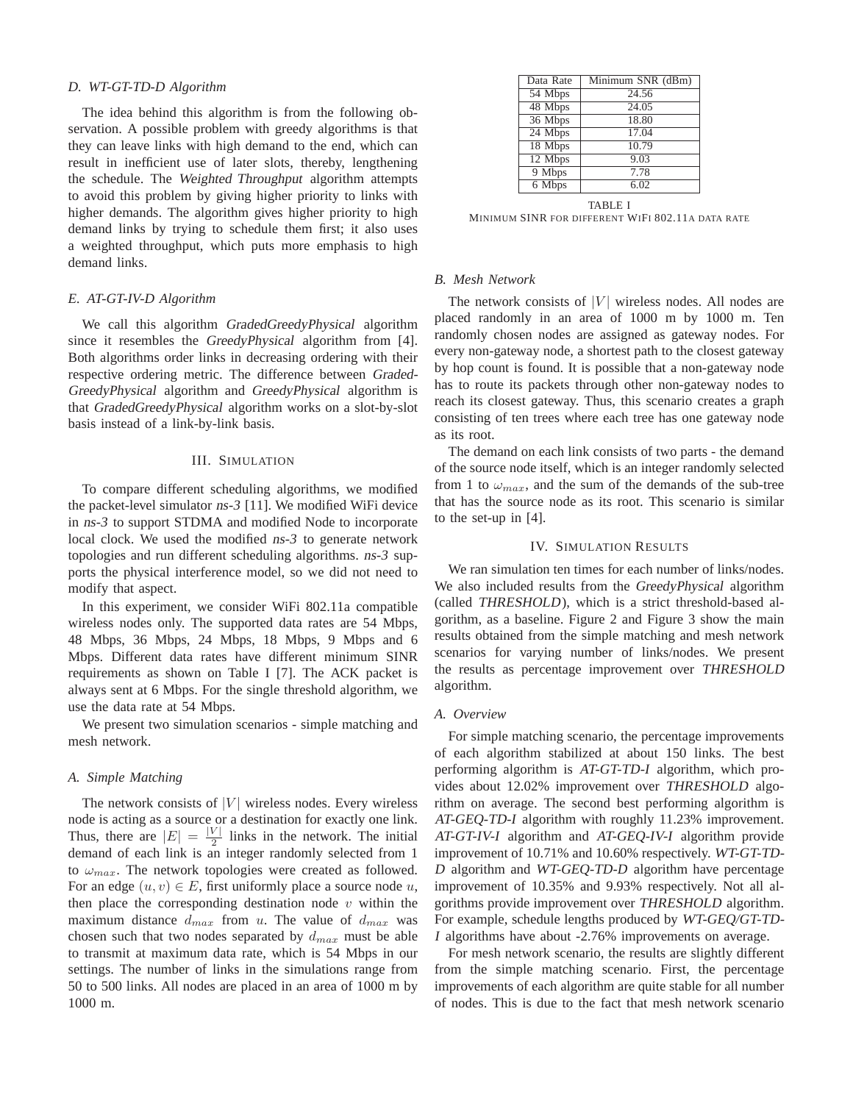#### *D. WT-GT-TD-D Algorithm*

The idea behind this algorithm is from the following observation. A possible problem with greedy algorithms is that they can leave links with high demand to the end, which can result in inefficient use of later slots, thereby, lengthening the schedule. The Weighted Throughput algorithm attempts to avoid this problem by giving higher priority to links with higher demands. The algorithm gives higher priority to high demand links by trying to schedule them first; it also uses a weighted throughput, which puts more emphasis to high demand links.

### *E. AT-GT-IV-D Algorithm*

We call this algorithm GradedGreedyPhysical algorithm since it resembles the GreedyPhysical algorithm from [4]. Both algorithms order links in decreasing ordering with their respective ordering metric. The difference between Graded-GreedyPhysical algorithm and GreedyPhysical algorithm is that GradedGreedyPhysical algorithm works on a slot-by-slot basis instead of a link-by-link basis.

## III. SIMULATION

To compare different scheduling algorithms, we modified the packet-level simulator ns-3 [11]. We modified WiFi device in ns-3 to support STDMA and modified Node to incorporate local clock. We used the modified ns-3 to generate network topologies and run different scheduling algorithms. ns-3 supports the physical interference model, so we did not need to modify that aspect.

In this experiment, we consider WiFi 802.11a compatible wireless nodes only. The supported data rates are 54 Mbps, 48 Mbps, 36 Mbps, 24 Mbps, 18 Mbps, 9 Mbps and 6 Mbps. Different data rates have different minimum SINR requirements as shown on Table I [7]. The ACK packet is always sent at 6 Mbps. For the single threshold algorithm, we use the data rate at 54 Mbps.

We present two simulation scenarios - simple matching and mesh network.

#### *A. Simple Matching*

The network consists of  $|V|$  wireless nodes. Every wireless node is acting as a source or a destination for exactly one link. Thus, there are  $|E| = \frac{|V|}{2}$  links in the network. The initial demand of each link is an integer randomly selected from 1 to  $\omega_{max}$ . The network topologies were created as followed. For an edge  $(u, v) \in E$ , first uniformly place a source node u, then place the corresponding destination node  $v$  within the maximum distance  $d_{max}$  from u. The value of  $d_{max}$  was chosen such that two nodes separated by  $d_{max}$  must be able to transmit at maximum data rate, which is 54 Mbps in our settings. The number of links in the simulations range from 50 to 500 links. All nodes are placed in an area of 1000 m by 1000 m.

| Data Rate | Minimum SNR (dBm) |
|-----------|-------------------|
| 54 Mbps   | 24.56             |
| 48 Mbps   | 24.05             |
| 36 Mbps   | 18.80             |
| 24 Mbps   | 17.04             |
| $18$ Mbps | 10.79             |
| 12 Mbps   | 9.03              |
| 9 Mbps    | 7.78              |
| 6 Mbps    | 6.02              |
|           |                   |

TABLE I

MINIMUM SINR FOR DIFFERENT WIFI 802.11A DATA RATE

## *B. Mesh Network*

The network consists of  $|V|$  wireless nodes. All nodes are placed randomly in an area of 1000 m by 1000 m. Ten randomly chosen nodes are assigned as gateway nodes. For every non-gateway node, a shortest path to the closest gateway by hop count is found. It is possible that a non-gateway node has to route its packets through other non-gateway nodes to reach its closest gateway. Thus, this scenario creates a graph consisting of ten trees where each tree has one gateway node as its root.

The demand on each link consists of two parts - the demand of the source node itself, which is an integer randomly selected from 1 to  $\omega_{max}$ , and the sum of the demands of the sub-tree that has the source node as its root. This scenario is similar to the set-up in [4].

#### IV. SIMULATION RESULTS

We ran simulation ten times for each number of links/nodes. We also included results from the GreedyPhysical algorithm (called THRESHOLD), which is a strict threshold-based algorithm, as a baseline. Figure 2 and Figure 3 show the main results obtained from the simple matching and mesh network scenarios for varying number of links/nodes. We present the results as percentage improvement over THRESHOLD algorithm.

## *A. Overview*

For simple matching scenario, the percentage improvements of each algorithm stabilized at about 150 links. The best performing algorithm is AT-GT-TD-I algorithm, which provides about 12.02% improvement over THRESHOLD algorithm on average. The second best performing algorithm is AT-GEQ-TD-I algorithm with roughly 11.23% improvement. AT-GT-IV-I algorithm and AT-GEQ-IV-I algorithm provide improvement of 10.71% and 10.60% respectively. WT-GT-TD-<sup>D</sup> algorithm and WT-GEQ-TD-D algorithm have percentage improvement of 10.35% and 9.93% respectively. Not all algorithms provide improvement over THRESHOLD algorithm. For example, schedule lengths produced by WT-GEQ/GT-TD-<sup>I</sup> algorithms have about -2.76% improvements on average.

For mesh network scenario, the results are slightly different from the simple matching scenario. First, the percentage improvements of each algorithm are quite stable for all number of nodes. This is due to the fact that mesh network scenario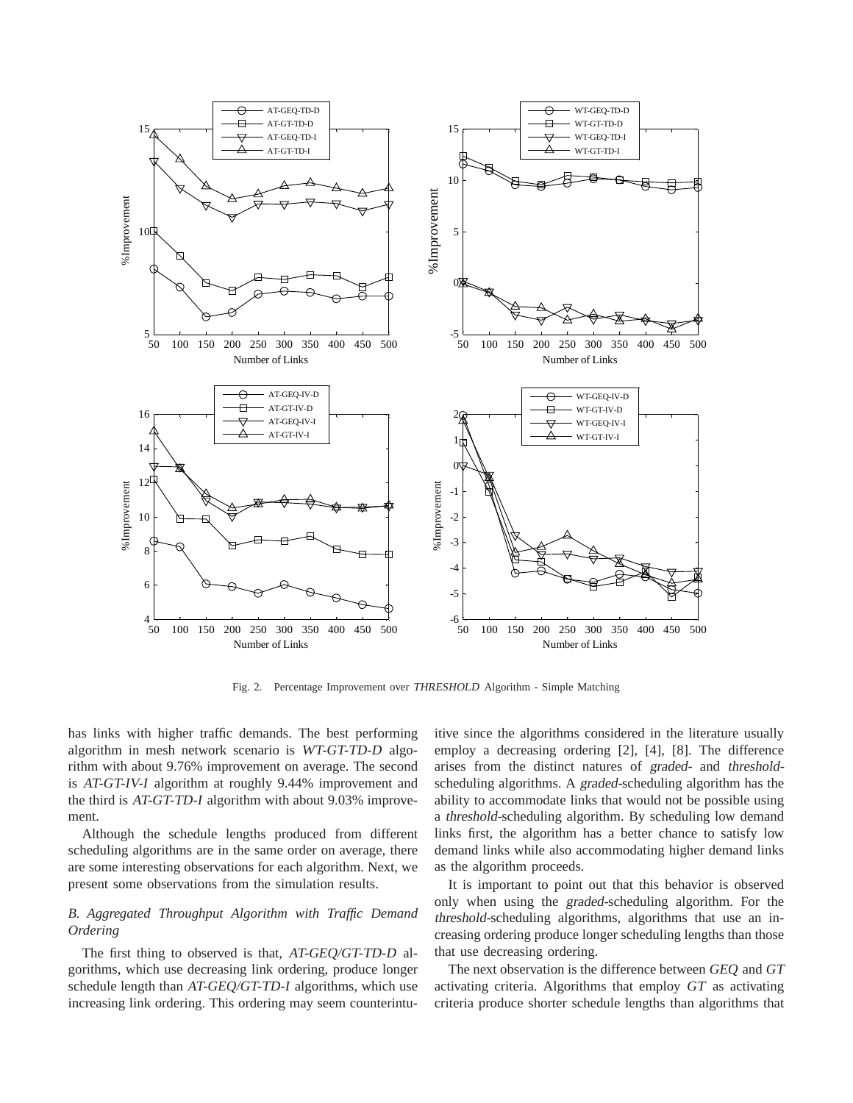

Fig. 2. Percentage Improvement over THRESHOLD Algorithm - Simple Matching

has links with higher traffic demands. The best performing algorithm in mesh network scenario is WT-GT-TD-D algorithm with about 9.76% improvement on average. The second is AT-GT-IV-I algorithm at roughly 9.44% improvement and the third is AT-GT-TD-I algorithm with about 9.03% improvement.

Although the schedule lengths produced from different scheduling algorithms are in the same order on average, there are some interesting observations for each algorithm. Next, we present some observations from the simulation results.

## *B. Aggregated Throughput Algorithm with Traffic Demand Ordering*

The first thing to observed is that, AT-GEQ/GT-TD-D algorithms, which use decreasing link ordering, produce longer schedule length than AT-GEQ/GT-TD-I algorithms, which use increasing link ordering. This ordering may seem counterintuitive since the algorithms considered in the literature usually employ a decreasing ordering [2], [4], [8]. The difference arises from the distinct natures of graded- and thresholdscheduling algorithms. A graded-scheduling algorithm has the ability to accommodate links that would not be possible using a threshold-scheduling algorithm. By scheduling low demand links first, the algorithm has a better chance to satisfy low demand links while also accommodating higher demand links as the algorithm proceeds.

It is important to point out that this behavior is observed only when using the graded-scheduling algorithm. For the threshold-scheduling algorithms, algorithms that use an increasing ordering produce longer scheduling lengths than those that use decreasing ordering.

The next observation is the difference between GEQ and GT activating criteria. Algorithms that employ GT as activating criteria produce shorter schedule lengths than algorithms that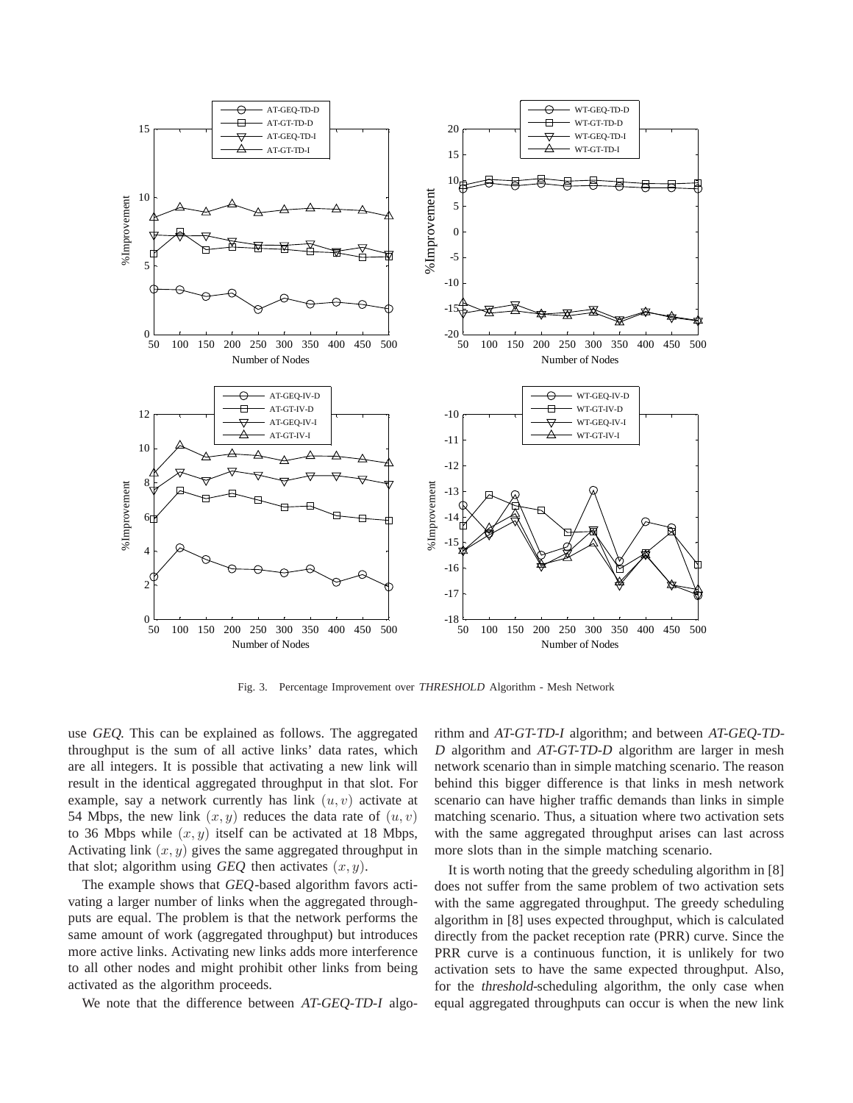

Fig. 3. Percentage Improvement over THRESHOLD Algorithm - Mesh Network

use GEQ. This can be explained as follows. The aggregated throughput is the sum of all active links' data rates, which are all integers. It is possible that activating a new link will result in the identical aggregated throughput in that slot. For example, say a network currently has link  $(u, v)$  activate at 54 Mbps, the new link  $(x, y)$  reduces the data rate of  $(u, v)$ to 36 Mbps while  $(x, y)$  itself can be activated at 18 Mbps, Activating link  $(x, y)$  gives the same aggregated throughput in that slot; algorithm using GEQ then activates  $(x, y)$ .

The example shows that GEQ-based algorithm favors activating a larger number of links when the aggregated throughputs are equal. The problem is that the network performs the same amount of work (aggregated throughput) but introduces more active links. Activating new links adds more interference to all other nodes and might prohibit other links from being activated as the algorithm proceeds.

We note that the difference between AT-GEQ-TD-I algo-

rithm and AT-GT-TD-I algorithm; and between AT-GEQ-TD-<sup>D</sup> algorithm and AT-GT-TD-D algorithm are larger in mesh network scenario than in simple matching scenario. The reason behind this bigger difference is that links in mesh network scenario can have higher traffic demands than links in simple matching scenario. Thus, a situation where two activation sets with the same aggregated throughput arises can last across more slots than in the simple matching scenario.

It is worth noting that the greedy scheduling algorithm in [8] does not suffer from the same problem of two activation sets with the same aggregated throughput. The greedy scheduling algorithm in [8] uses expected throughput, which is calculated directly from the packet reception rate (PRR) curve. Since the PRR curve is a continuous function, it is unlikely for two activation sets to have the same expected throughput. Also, for the threshold-scheduling algorithm, the only case when equal aggregated throughputs can occur is when the new link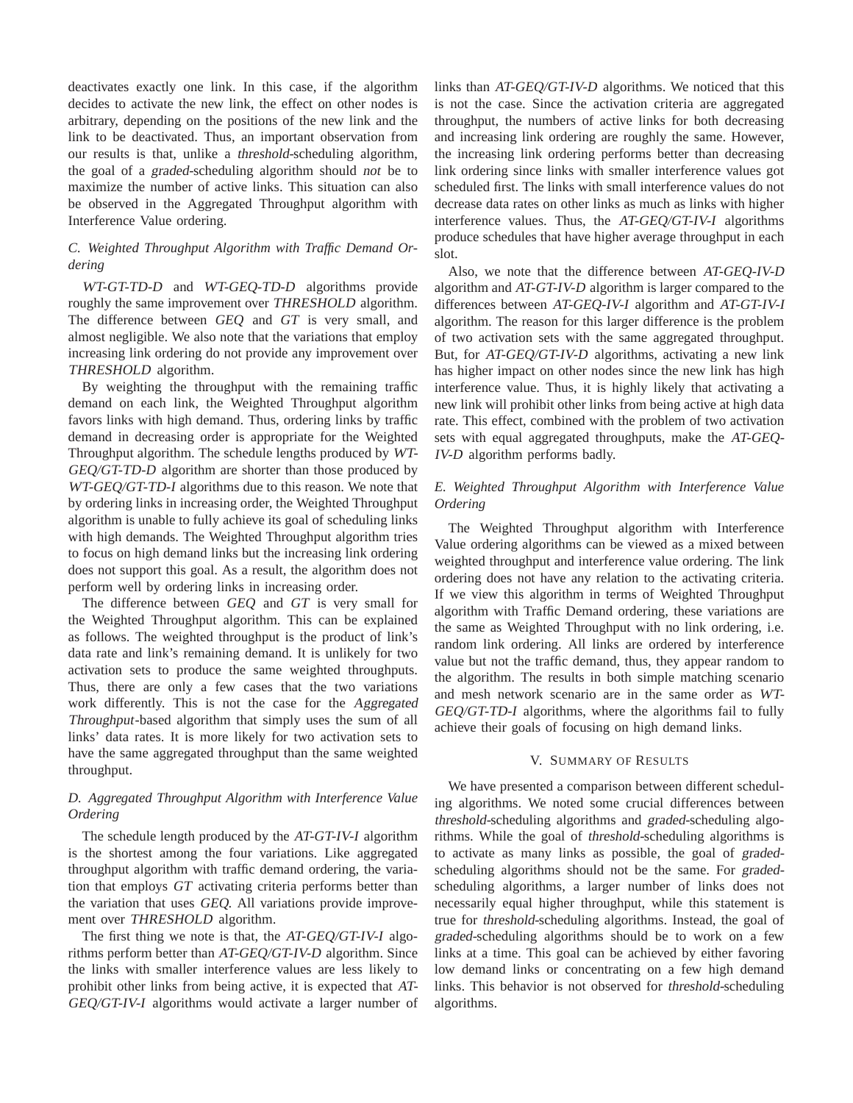deactivates exactly one link. In this case, if the algorithm decides to activate the new link, the effect on other nodes is arbitrary, depending on the positions of the new link and the link to be deactivated. Thus, an important observation from our results is that, unlike a threshold-scheduling algorithm, the goal of a graded-scheduling algorithm should not be to maximize the number of active links. This situation can also be observed in the Aggregated Throughput algorithm with Interference Value ordering.

## *C. Weighted Throughput Algorithm with Traffic Demand Ordering*

WT-GT-TD-D and WT-GEQ-TD-D algorithms provide roughly the same improvement over THRESHOLD algorithm. The difference between GEQ and GT is very small, and almost negligible. We also note that the variations that employ increasing link ordering do not provide any improvement over THRESHOLD algorithm.

By weighting the throughput with the remaining traffic demand on each link, the Weighted Throughput algorithm favors links with high demand. Thus, ordering links by traffic demand in decreasing order is appropriate for the Weighted Throughput algorithm. The schedule lengths produced by WT-GEQ/GT-TD-D algorithm are shorter than those produced by WT-GEQ/GT-TD-I algorithms due to this reason. We note that by ordering links in increasing order, the Weighted Throughput algorithm is unable to fully achieve its goal of scheduling links with high demands. The Weighted Throughput algorithm tries to focus on high demand links but the increasing link ordering does not support this goal. As a result, the algorithm does not perform well by ordering links in increasing order.

The difference between GEQ and GT is very small for the Weighted Throughput algorithm. This can be explained as follows. The weighted throughput is the product of link's data rate and link's remaining demand. It is unlikely for two activation sets to produce the same weighted throughputs. Thus, there are only a few cases that the two variations work differently. This is not the case for the Aggregated Throughput-based algorithm that simply uses the sum of all links' data rates. It is more likely for two activation sets to have the same aggregated throughput than the same weighted throughput.

# *D. Aggregated Throughput Algorithm with Interference Value Ordering*

The schedule length produced by the AT-GT-IV-I algorithm is the shortest among the four variations. Like aggregated throughput algorithm with traffic demand ordering, the variation that employs GT activating criteria performs better than the variation that uses GEQ. All variations provide improvement over THRESHOLD algorithm.

The first thing we note is that, the AT-GEQ/GT-IV-I algorithms perform better than AT-GEQ/GT-IV-D algorithm. Since the links with smaller interference values are less likely to prohibit other links from being active, it is expected that AT-GEQ/GT-IV-I algorithms would activate a larger number of links than AT-GEQ/GT-IV-D algorithms. We noticed that this is not the case. Since the activation criteria are aggregated throughput, the numbers of active links for both decreasing and increasing link ordering are roughly the same. However, the increasing link ordering performs better than decreasing link ordering since links with smaller interference values got scheduled first. The links with small interference values do not decrease data rates on other links as much as links with higher interference values. Thus, the AT-GEQ/GT-IV-I algorithms produce schedules that have higher average throughput in each slot.

Also, we note that the difference between AT-GEQ-IV-D algorithm and AT-GT-IV-D algorithm is larger compared to the differences between AT-GEQ-IV-I algorithm and AT-GT-IV-I algorithm. The reason for this larger difference is the problem of two activation sets with the same aggregated throughput. But, for AT-GEQ/GT-IV-D algorithms, activating a new link has higher impact on other nodes since the new link has high interference value. Thus, it is highly likely that activating a new link will prohibit other links from being active at high data rate. This effect, combined with the problem of two activation sets with equal aggregated throughputs, make the AT-GEQ-IV-D algorithm performs badly.

# *E. Weighted Throughput Algorithm with Interference Value Ordering*

The Weighted Throughput algorithm with Interference Value ordering algorithms can be viewed as a mixed between weighted throughput and interference value ordering. The link ordering does not have any relation to the activating criteria. If we view this algorithm in terms of Weighted Throughput algorithm with Traffic Demand ordering, these variations are the same as Weighted Throughput with no link ordering, i.e. random link ordering. All links are ordered by interference value but not the traffic demand, thus, they appear random to the algorithm. The results in both simple matching scenario and mesh network scenario are in the same order as WT-GEQ/GT-TD-I algorithms, where the algorithms fail to fully achieve their goals of focusing on high demand links.

### V. SUMMARY OF RESULTS

We have presented a comparison between different scheduling algorithms. We noted some crucial differences between threshold-scheduling algorithms and graded-scheduling algorithms. While the goal of threshold-scheduling algorithms is to activate as many links as possible, the goal of gradedscheduling algorithms should not be the same. For gradedscheduling algorithms, a larger number of links does not necessarily equal higher throughput, while this statement is true for threshold-scheduling algorithms. Instead, the goal of graded-scheduling algorithms should be to work on a few links at a time. This goal can be achieved by either favoring low demand links or concentrating on a few high demand links. This behavior is not observed for threshold-scheduling algorithms.